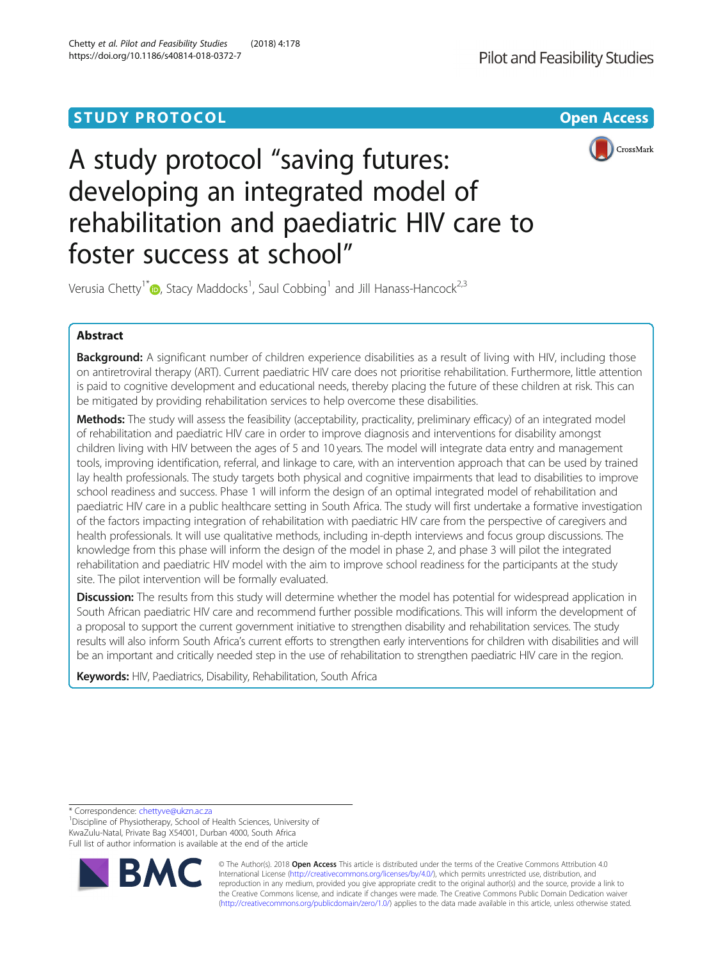# **STUDY PROTOCOL CONSUMING THE CONSUMING OPEN ACCESS**





# A study protocol "saving futures: developing an integrated model of rehabilitation and paediatric HIV care to foster success at school"

Verusia Chetty<sup>1[\\*](http://orcid.org/0000-0003-2934-8687)</sup>®, Stacy Maddocks<sup>1</sup>, Saul Cobbing<sup>1</sup> and Jill Hanass-Hancock<sup>2,3</sup>

# Abstract

Background: A significant number of children experience disabilities as a result of living with HIV, including those on antiretroviral therapy (ART). Current paediatric HIV care does not prioritise rehabilitation. Furthermore, little attention is paid to cognitive development and educational needs, thereby placing the future of these children at risk. This can be mitigated by providing rehabilitation services to help overcome these disabilities.

Methods: The study will assess the feasibility (acceptability, practicality, preliminary efficacy) of an integrated model of rehabilitation and paediatric HIV care in order to improve diagnosis and interventions for disability amongst children living with HIV between the ages of 5 and 10 years. The model will integrate data entry and management tools, improving identification, referral, and linkage to care, with an intervention approach that can be used by trained lay health professionals. The study targets both physical and cognitive impairments that lead to disabilities to improve school readiness and success. Phase 1 will inform the design of an optimal integrated model of rehabilitation and paediatric HIV care in a public healthcare setting in South Africa. The study will first undertake a formative investigation of the factors impacting integration of rehabilitation with paediatric HIV care from the perspective of caregivers and health professionals. It will use qualitative methods, including in-depth interviews and focus group discussions. The knowledge from this phase will inform the design of the model in phase 2, and phase 3 will pilot the integrated rehabilitation and paediatric HIV model with the aim to improve school readiness for the participants at the study site. The pilot intervention will be formally evaluated.

**Discussion:** The results from this study will determine whether the model has potential for widespread application in South African paediatric HIV care and recommend further possible modifications. This will inform the development of a proposal to support the current government initiative to strengthen disability and rehabilitation services. The study results will also inform South Africa's current efforts to strengthen early interventions for children with disabilities and will be an important and critically needed step in the use of rehabilitation to strengthen paediatric HIV care in the region.

Keywords: HIV, Paediatrics, Disability, Rehabilitation, South Africa

\* Correspondence: [chettyve@ukzn.ac.za](mailto:chettyve@ukzn.ac.za) <sup>1</sup>

<sup>1</sup> Discipline of Physiotherapy, School of Health Sciences, University of KwaZulu-Natal, Private Bag X54001, Durban 4000, South Africa Full list of author information is available at the end of the article



© The Author(s). 2018 Open Access This article is distributed under the terms of the Creative Commons Attribution 4.0 International License [\(http://creativecommons.org/licenses/by/4.0/](http://creativecommons.org/licenses/by/4.0/)), which permits unrestricted use, distribution, and reproduction in any medium, provided you give appropriate credit to the original author(s) and the source, provide a link to the Creative Commons license, and indicate if changes were made. The Creative Commons Public Domain Dedication waiver [\(http://creativecommons.org/publicdomain/zero/1.0/](http://creativecommons.org/publicdomain/zero/1.0/)) applies to the data made available in this article, unless otherwise stated.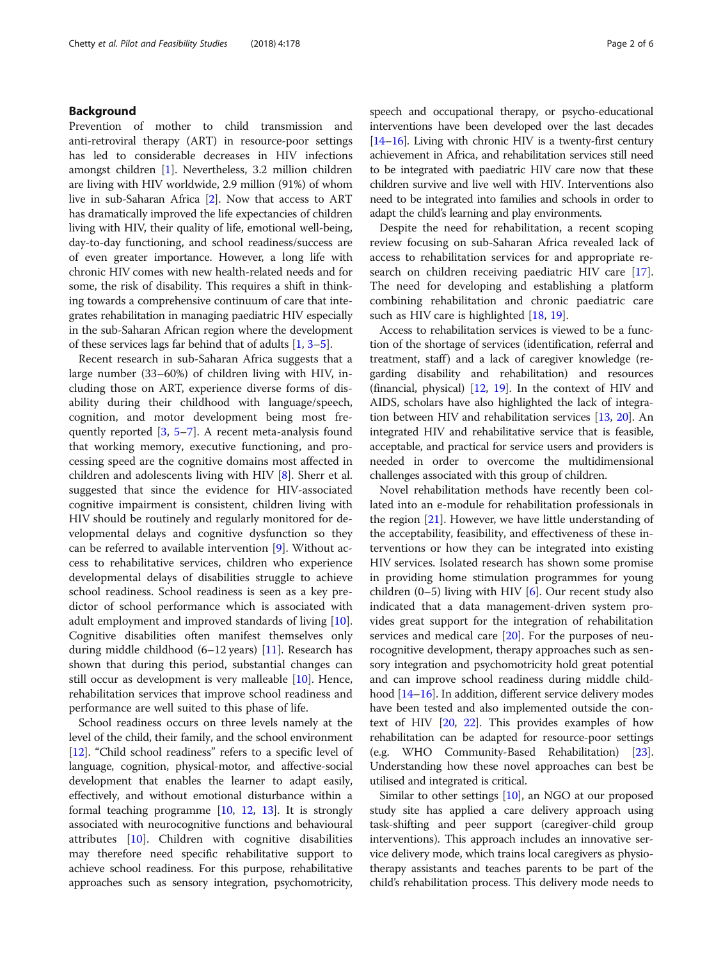# Background

Prevention of mother to child transmission and anti-retroviral therapy (ART) in resource-poor settings has led to considerable decreases in HIV infections amongst children [\[1\]](#page-4-0). Nevertheless, 3.2 million children are living with HIV worldwide, 2.9 million (91%) of whom live in sub-Saharan Africa [\[2\]](#page-4-0). Now that access to ART has dramatically improved the life expectancies of children living with HIV, their quality of life, emotional well-being, day-to-day functioning, and school readiness/success are of even greater importance. However, a long life with chronic HIV comes with new health-related needs and for some, the risk of disability. This requires a shift in thinking towards a comprehensive continuum of care that integrates rehabilitation in managing paediatric HIV especially in the sub-Saharan African region where the development of these services lags far behind that of adults [[1,](#page-4-0) [3](#page-4-0)–[5\]](#page-4-0).

Recent research in sub-Saharan Africa suggests that a large number (33–60%) of children living with HIV, including those on ART, experience diverse forms of disability during their childhood with language/speech, cognition, and motor development being most frequently reported [[3](#page-4-0), [5](#page-4-0)–[7](#page-4-0)]. A recent meta-analysis found that working memory, executive functioning, and processing speed are the cognitive domains most affected in children and adolescents living with HIV [\[8\]](#page-5-0). Sherr et al. suggested that since the evidence for HIV-associated cognitive impairment is consistent, children living with HIV should be routinely and regularly monitored for developmental delays and cognitive dysfunction so they can be referred to available intervention [\[9](#page-5-0)]. Without access to rehabilitative services, children who experience developmental delays of disabilities struggle to achieve school readiness. School readiness is seen as a key predictor of school performance which is associated with adult employment and improved standards of living [\[10](#page-5-0)]. Cognitive disabilities often manifest themselves only during middle childhood (6–12 years) [[11\]](#page-5-0). Research has shown that during this period, substantial changes can still occur as development is very malleable [[10\]](#page-5-0). Hence, rehabilitation services that improve school readiness and performance are well suited to this phase of life.

School readiness occurs on three levels namely at the level of the child, their family, and the school environment [[12](#page-5-0)]. "Child school readiness" refers to a specific level of language, cognition, physical-motor, and affective-social development that enables the learner to adapt easily, effectively, and without emotional disturbance within a formal teaching programme [[10,](#page-5-0) [12](#page-5-0), [13](#page-5-0)]. It is strongly associated with neurocognitive functions and behavioural attributes [\[10](#page-5-0)]. Children with cognitive disabilities may therefore need specific rehabilitative support to achieve school readiness. For this purpose, rehabilitative approaches such as sensory integration, psychomotricity, speech and occupational therapy, or psycho-educational interventions have been developed over the last decades [[14](#page-5-0)–[16](#page-5-0)]. Living with chronic HIV is a twenty-first century achievement in Africa, and rehabilitation services still need to be integrated with paediatric HIV care now that these children survive and live well with HIV. Interventions also need to be integrated into families and schools in order to adapt the child's learning and play environments.

Despite the need for rehabilitation, a recent scoping review focusing on sub-Saharan Africa revealed lack of access to rehabilitation services for and appropriate research on children receiving paediatric HIV care [\[17](#page-5-0)]. The need for developing and establishing a platform combining rehabilitation and chronic paediatric care such as HIV care is highlighted [[18](#page-5-0), [19](#page-5-0)].

Access to rehabilitation services is viewed to be a function of the shortage of services (identification, referral and treatment, staff) and a lack of caregiver knowledge (regarding disability and rehabilitation) and resources (financial, physical)  $[12, 19]$  $[12, 19]$  $[12, 19]$  $[12, 19]$  $[12, 19]$ . In the context of HIV and AIDS, scholars have also highlighted the lack of integration between HIV and rehabilitation services [\[13,](#page-5-0) [20\]](#page-5-0). An integrated HIV and rehabilitative service that is feasible, acceptable, and practical for service users and providers is needed in order to overcome the multidimensional challenges associated with this group of children.

Novel rehabilitation methods have recently been collated into an e-module for rehabilitation professionals in the region [[21](#page-5-0)]. However, we have little understanding of the acceptability, feasibility, and effectiveness of these interventions or how they can be integrated into existing HIV services. Isolated research has shown some promise in providing home stimulation programmes for young children  $(0-5)$  living with HIV [\[6](#page-4-0)]. Our recent study also indicated that a data management-driven system provides great support for the integration of rehabilitation services and medical care  $[20]$  $[20]$ . For the purposes of neurocognitive development, therapy approaches such as sensory integration and psychomotricity hold great potential and can improve school readiness during middle child-hood [[14](#page-5-0)–[16\]](#page-5-0). In addition, different service delivery modes have been tested and also implemented outside the context of HIV [[20,](#page-5-0) [22\]](#page-5-0). This provides examples of how rehabilitation can be adapted for resource-poor settings (e.g. WHO Community-Based Rehabilitation) [[23](#page-5-0)]. Understanding how these novel approaches can best be utilised and integrated is critical.

Similar to other settings [\[10\]](#page-5-0), an NGO at our proposed study site has applied a care delivery approach using task-shifting and peer support (caregiver-child group interventions). This approach includes an innovative service delivery mode, which trains local caregivers as physiotherapy assistants and teaches parents to be part of the child's rehabilitation process. This delivery mode needs to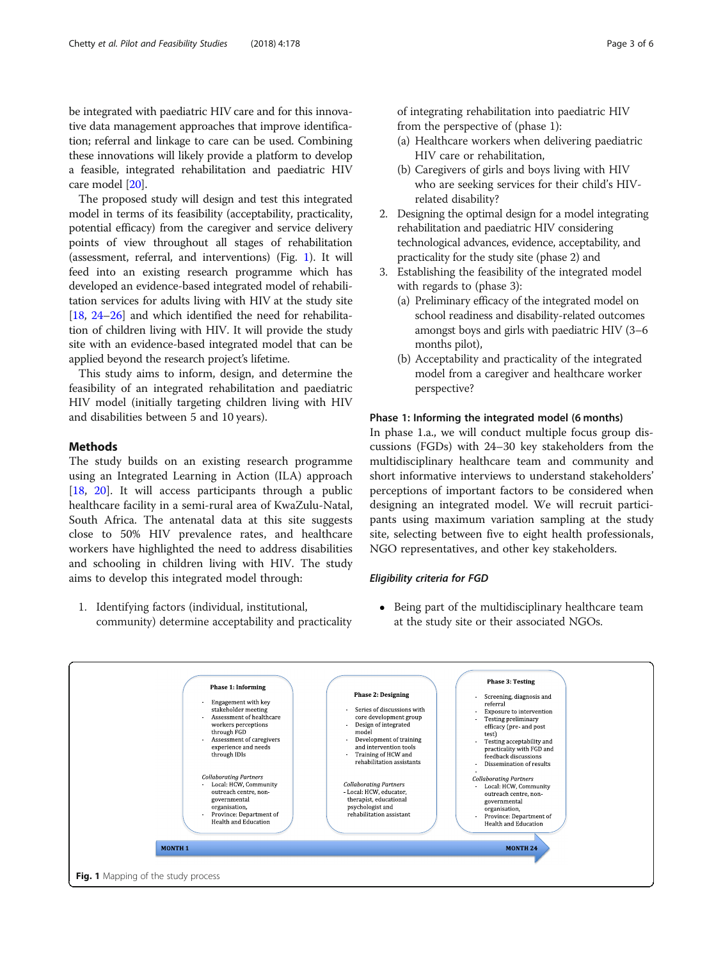be integrated with paediatric HIV care and for this innovative data management approaches that improve identification; referral and linkage to care can be used. Combining these innovations will likely provide a platform to develop a feasible, integrated rehabilitation and paediatric HIV care model [[20](#page-5-0)].

The proposed study will design and test this integrated model in terms of its feasibility (acceptability, practicality, potential efficacy) from the caregiver and service delivery points of view throughout all stages of rehabilitation (assessment, referral, and interventions) (Fig. 1). It will feed into an existing research programme which has developed an evidence-based integrated model of rehabilitation services for adults living with HIV at the study site [[18](#page-5-0), [24](#page-5-0)–[26](#page-5-0)] and which identified the need for rehabilitation of children living with HIV. It will provide the study site with an evidence-based integrated model that can be applied beyond the research project's lifetime.

This study aims to inform, design, and determine the feasibility of an integrated rehabilitation and paediatric HIV model (initially targeting children living with HIV and disabilities between 5 and 10 years).

# Methods

The study builds on an existing research programme using an Integrated Learning in Action (ILA) approach [[18,](#page-5-0) [20\]](#page-5-0). It will access participants through a public healthcare facility in a semi-rural area of KwaZulu-Natal, South Africa. The antenatal data at this site suggests close to 50% HIV prevalence rates, and healthcare workers have highlighted the need to address disabilities and schooling in children living with HIV. The study aims to develop this integrated model through:

1. Identifying factors (individual, institutional, community) determine acceptability and practicality of integrating rehabilitation into paediatric HIV from the perspective of (phase 1):

- (a) Healthcare workers when delivering paediatric HIV care or rehabilitation,
- (b) Caregivers of girls and boys living with HIV who are seeking services for their child's HIVrelated disability?
- 2. Designing the optimal design for a model integrating rehabilitation and paediatric HIV considering technological advances, evidence, acceptability, and practicality for the study site (phase 2) and
- 3. Establishing the feasibility of the integrated model with regards to (phase 3):
	- (a) Preliminary efficacy of the integrated model on school readiness and disability-related outcomes amongst boys and girls with paediatric HIV (3–6 months pilot),
	- (b) Acceptability and practicality of the integrated model from a caregiver and healthcare worker perspective?

### Phase 1: Informing the integrated model (6 months)

In phase 1.a., we will conduct multiple focus group discussions (FGDs) with 24–30 key stakeholders from the multidisciplinary healthcare team and community and short informative interviews to understand stakeholders' perceptions of important factors to be considered when designing an integrated model. We will recruit participants using maximum variation sampling at the study site, selecting between five to eight health professionals, NGO representatives, and other key stakeholders.

# Eligibility criteria for FGD

 Being part of the multidisciplinary healthcare team at the study site or their associated NGOs.

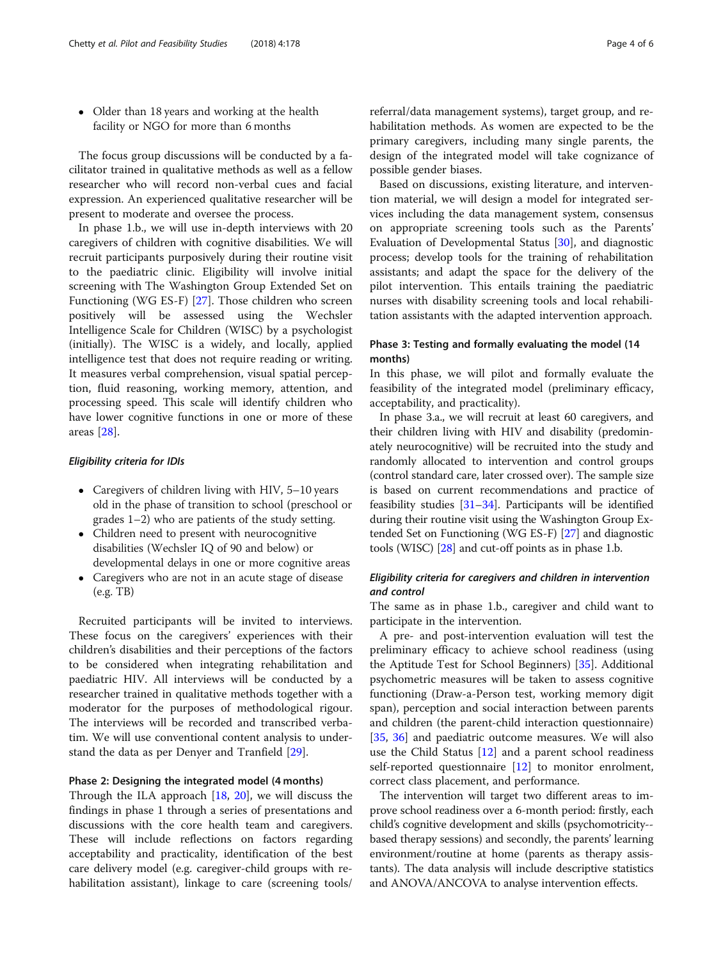• Older than 18 years and working at the health facility or NGO for more than 6 months

The focus group discussions will be conducted by a facilitator trained in qualitative methods as well as a fellow researcher who will record non-verbal cues and facial expression. An experienced qualitative researcher will be present to moderate and oversee the process.

In phase 1.b., we will use in-depth interviews with 20 caregivers of children with cognitive disabilities. We will recruit participants purposively during their routine visit to the paediatric clinic. Eligibility will involve initial screening with The Washington Group Extended Set on Functioning (WG ES-F) [\[27](#page-5-0)]. Those children who screen positively will be assessed using the Wechsler Intelligence Scale for Children (WISC) by a psychologist (initially). The WISC is a widely, and locally, applied intelligence test that does not require reading or writing. It measures verbal comprehension, visual spatial perception, fluid reasoning, working memory, attention, and processing speed. This scale will identify children who have lower cognitive functions in one or more of these areas [[28](#page-5-0)].

#### Eligibility criteria for IDIs

- Caregivers of children living with HIV, 5–10 years old in the phase of transition to school (preschool or grades 1–2) who are patients of the study setting.
- Children need to present with neurocognitive disabilities (Wechsler IQ of 90 and below) or developmental delays in one or more cognitive areas
- Caregivers who are not in an acute stage of disease (e.g. TB)

Recruited participants will be invited to interviews. These focus on the caregivers' experiences with their children's disabilities and their perceptions of the factors to be considered when integrating rehabilitation and paediatric HIV. All interviews will be conducted by a researcher trained in qualitative methods together with a moderator for the purposes of methodological rigour. The interviews will be recorded and transcribed verbatim. We will use conventional content analysis to understand the data as per Denyer and Tranfield [\[29\]](#page-5-0).

#### Phase 2: Designing the integrated model (4 months)

Through the ILA approach [\[18](#page-5-0), [20\]](#page-5-0), we will discuss the findings in phase 1 through a series of presentations and discussions with the core health team and caregivers. These will include reflections on factors regarding acceptability and practicality, identification of the best care delivery model (e.g. caregiver-child groups with rehabilitation assistant), linkage to care (screening tools/

referral/data management systems), target group, and rehabilitation methods. As women are expected to be the primary caregivers, including many single parents, the design of the integrated model will take cognizance of possible gender biases.

Based on discussions, existing literature, and intervention material, we will design a model for integrated services including the data management system, consensus on appropriate screening tools such as the Parents' Evaluation of Developmental Status [[30\]](#page-5-0), and diagnostic process; develop tools for the training of rehabilitation assistants; and adapt the space for the delivery of the pilot intervention. This entails training the paediatric nurses with disability screening tools and local rehabilitation assistants with the adapted intervention approach.

# Phase 3: Testing and formally evaluating the model (14 months)

In this phase, we will pilot and formally evaluate the feasibility of the integrated model (preliminary efficacy, acceptability, and practicality).

In phase 3.a., we will recruit at least 60 caregivers, and their children living with HIV and disability (predominately neurocognitive) will be recruited into the study and randomly allocated to intervention and control groups (control standard care, later crossed over). The sample size is based on current recommendations and practice of feasibility studies [[31](#page-5-0)–[34\]](#page-5-0). Participants will be identified during their routine visit using the Washington Group Extended Set on Functioning (WG ES-F) [\[27\]](#page-5-0) and diagnostic tools (WISC) [\[28\]](#page-5-0) and cut-off points as in phase 1.b.

# Eligibility criteria for caregivers and children in intervention and control

The same as in phase 1.b., caregiver and child want to participate in the intervention.

A pre- and post-intervention evaluation will test the preliminary efficacy to achieve school readiness (using the Aptitude Test for School Beginners) [[35\]](#page-5-0). Additional psychometric measures will be taken to assess cognitive functioning (Draw-a-Person test, working memory digit span), perception and social interaction between parents and children (the parent-child interaction questionnaire) [[35,](#page-5-0) [36](#page-5-0)] and paediatric outcome measures. We will also use the Child Status [[12\]](#page-5-0) and a parent school readiness self-reported questionnaire [\[12\]](#page-5-0) to monitor enrolment, correct class placement, and performance.

The intervention will target two different areas to improve school readiness over a 6-month period: firstly, each child's cognitive development and skills (psychomotricity- based therapy sessions) and secondly, the parents' learning environment/routine at home (parents as therapy assistants). The data analysis will include descriptive statistics and ANOVA/ANCOVA to analyse intervention effects.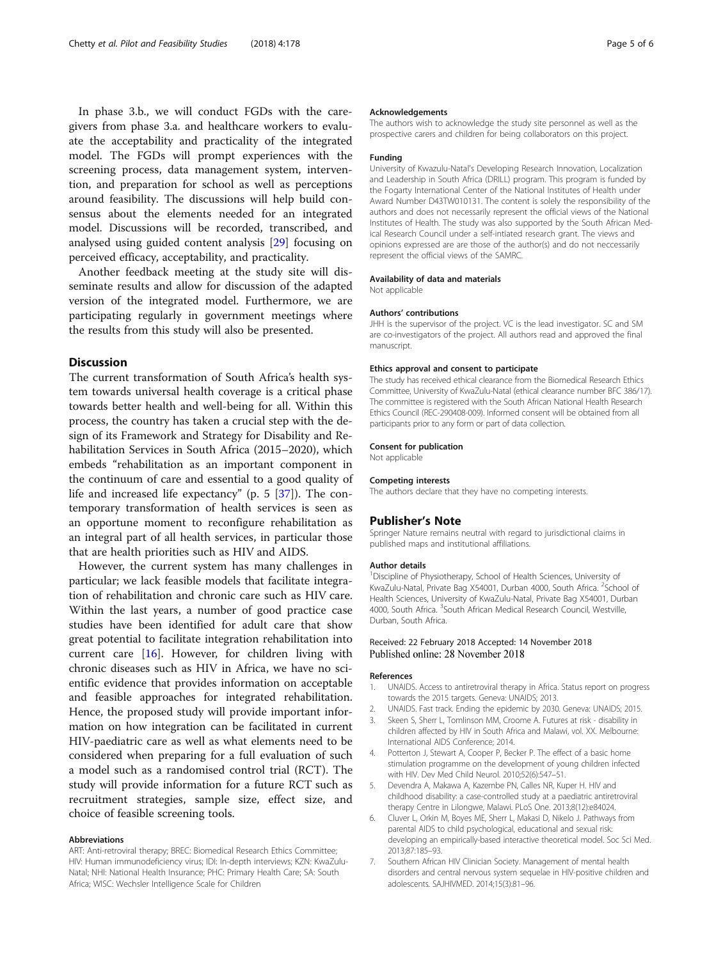<span id="page-4-0"></span>In phase 3.b., we will conduct FGDs with the caregivers from phase 3.a. and healthcare workers to evaluate the acceptability and practicality of the integrated model. The FGDs will prompt experiences with the screening process, data management system, intervention, and preparation for school as well as perceptions around feasibility. The discussions will help build consensus about the elements needed for an integrated model. Discussions will be recorded, transcribed, and analysed using guided content analysis [\[29\]](#page-5-0) focusing on perceived efficacy, acceptability, and practicality.

Another feedback meeting at the study site will disseminate results and allow for discussion of the adapted version of the integrated model. Furthermore, we are participating regularly in government meetings where the results from this study will also be presented.

# Discussion

The current transformation of South Africa's health system towards universal health coverage is a critical phase towards better health and well-being for all. Within this process, the country has taken a crucial step with the design of its Framework and Strategy for Disability and Rehabilitation Services in South Africa (2015–2020), which embeds "rehabilitation as an important component in the continuum of care and essential to a good quality of life and increased life expectancy" (p. 5 [[37](#page-5-0)]). The contemporary transformation of health services is seen as an opportune moment to reconfigure rehabilitation as an integral part of all health services, in particular those that are health priorities such as HIV and AIDS.

However, the current system has many challenges in particular; we lack feasible models that facilitate integration of rehabilitation and chronic care such as HIV care. Within the last years, a number of good practice case studies have been identified for adult care that show great potential to facilitate integration rehabilitation into current care [[16\]](#page-5-0). However, for children living with chronic diseases such as HIV in Africa, we have no scientific evidence that provides information on acceptable and feasible approaches for integrated rehabilitation. Hence, the proposed study will provide important information on how integration can be facilitated in current HIV-paediatric care as well as what elements need to be considered when preparing for a full evaluation of such a model such as a randomised control trial (RCT). The study will provide information for a future RCT such as recruitment strategies, sample size, effect size, and choice of feasible screening tools.

#### Abbreviations

ART: Anti-retroviral therapy; BREC: Biomedical Research Ethics Committee; HIV: Human immunodeficiency virus; IDI: In-depth interviews; KZN: KwaZulu-Natal; NHI: National Health Insurance; PHC: Primary Health Care; SA: South Africa; WISC: Wechsler Intelligence Scale for Children

#### Acknowledgements

The authors wish to acknowledge the study site personnel as well as the prospective carers and children for being collaborators on this project.

#### Funding

University of Kwazulu-Natal's Developing Research Innovation, Localization and Leadership in South Africa (DRILL) program. This program is funded by the Fogarty International Center of the National Institutes of Health under Award Number D43TW010131. The content is solely the responsibility of the authors and does not necessarily represent the official views of the National Institutes of Health. The study was also supported by the South African Medical Research Council under a self-intiated research grant. The views and opinions expressed are are those of the author(s) and do not neccessarily represent the official views of the SAMRC.

#### Availability of data and materials

Not applicable

#### Authors' contributions

JHH is the supervisor of the project. VC is the lead investigator. SC and SM are co-investigators of the project. All authors read and approved the final manuscript.

#### Ethics approval and consent to participate

The study has received ethical clearance from the Biomedical Research Ethics Committee, University of KwaZulu-Natal (ethical clearance number BFC 386/17). The committee is registered with the South African National Health Research Ethics Council (REC-290408-009). Informed consent will be obtained from all participants prior to any form or part of data collection.

#### Consent for publication

Not applicable

#### Competing interests

The authors declare that they have no competing interests.

#### Publisher's Note

Springer Nature remains neutral with regard to jurisdictional claims in published maps and institutional affiliations.

#### Author details

<sup>1</sup> Discipline of Physiotherapy, School of Health Sciences, University of KwaZulu-Natal, Private Bag X54001, Durban 4000, South Africa. <sup>2</sup>School of Health Sciences, University of KwaZulu-Natal, Private Bag X54001, Durban 4000, South Africa. <sup>3</sup>South African Medical Research Council, Westville Durban, South Africa.

#### Received: 22 February 2018 Accepted: 14 November 2018 Published online: 28 November 2018

#### References

- 1. UNAIDS. Access to antiretroviral therapy in Africa. Status report on progress towards the 2015 targets. Geneva: UNAIDS; 2013.
- 2. UNAIDS. Fast track. Ending the epidemic by 2030. Geneva: UNAIDS; 2015.
- 3. Skeen S, Sherr L, Tomlinson MM, Croome A. Futures at risk disability in children affected by HIV in South Africa and Malawi, vol. XX. Melbourne: International AIDS Conference; 2014.
- 4. Potterton J, Stewart A, Cooper P, Becker P. The effect of a basic home stimulation programme on the development of young children infected with HIV. Dev Med Child Neurol. 2010;52(6):547–51.
- 5. Devendra A, Makawa A, Kazembe PN, Calles NR, Kuper H. HIV and childhood disability: a case-controlled study at a paediatric antiretroviral therapy Centre in Lilongwe, Malawi. PLoS One. 2013;8(12):e84024.
- 6. Cluver L, Orkin M, Boyes ME, Sherr L, Makasi D, Nikelo J. Pathways from parental AIDS to child psychological, educational and sexual risk: developing an empirically-based interactive theoretical model. Soc Sci Med. 2013;87:185–93.
- 7. Southern African HIV Clinician Society. Management of mental health disorders and central nervous system sequelae in HIV-positive children and adolescents. SAJHIVMED. 2014;15(3):81–96.